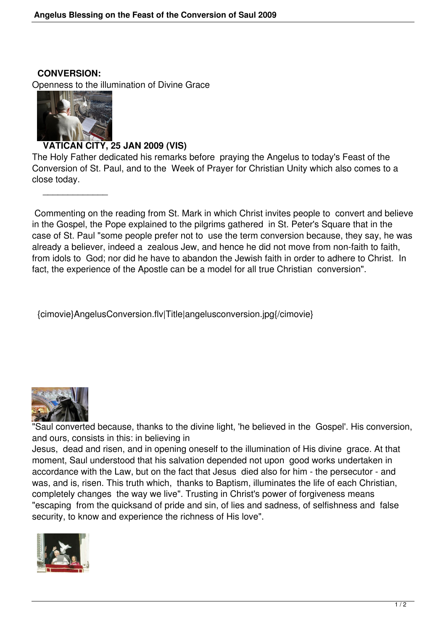**CONVERSION:**

Openness to the illumination of Divine Grace



 $\overline{\phantom{a}}$  , which is a set of the set of the set of the set of the set of the set of the set of the set of the set of the set of the set of the set of the set of the set of the set of the set of the set of the set of th

## **VATICAN CITY, 25 JAN 2009 (VIS)**

The Holy Father dedicated his remarks before praying the Angelus to today's Feast of the Conversion of St. Paul, and to the Week of Prayer for Christian Unity which also comes to a close today.

 Commenting on the reading from St. Mark in which Christ invites people to convert and believe in the Gospel, the Pope explained to the pilgrims gathered in St. Peter's Square that in the case of St. Paul "some people prefer not to use the term conversion because, they say, he was already a believer, indeed a zealous Jew, and hence he did not move from non-faith to faith, from idols to God; nor did he have to abandon the Jewish faith in order to adhere to Christ. In fact, the experience of the Apostle can be a model for all true Christian conversion".

{cimovie}AngelusConversion.flv|Title|angelusconversion.jpg{/cimovie}



"Saul converted because, thanks to the divine light, 'he believed in the Gospel'. His conversion, and ours, consists in this: in believing in

Jesus, dead and risen, and in opening oneself to the illumination of His divine grace. At that moment, Saul understood that his salvation depended not upon good works undertaken in accordance with the Law, but on the fact that Jesus died also for him - the persecutor - and was, and is, risen. This truth which, thanks to Baptism, illuminates the life of each Christian, completely changes the way we live". Trusting in Christ's power of forgiveness means "escaping from the quicksand of pride and sin, of lies and sadness, of selfishness and false security, to know and experience the richness of His love".